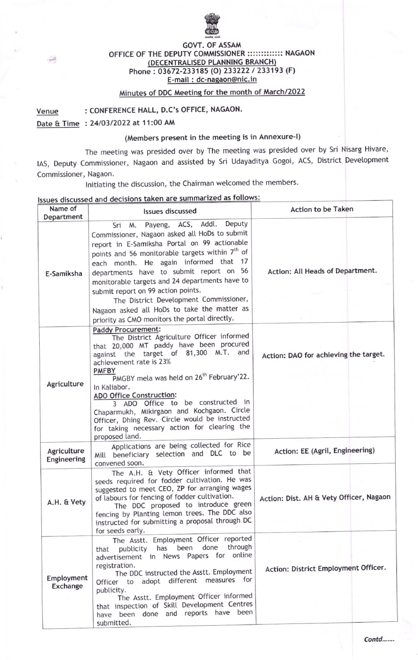

## GOVT. OF ASSAM OFFICE OF THE DEPUTY COMMISSIONER ::::::::::::::: NAGAON DECENTRALISED PLANNING BRANCH) Phone: 03672-233185 (O) 233222 / 233193 (F) E-mail : dc-nagaon@nic.in

## Minutes of DDC Meeting for the month of March/2022

Venue : CONFERENCE HALL, D.C's OFFICE, NAGAON.

Date & Time : 24/03/2022 at 11:00 AM

Ĥ.

## (Members present in the meeting is in Annexure-l)

The meeting was presided over by The meeting was presided over by sri Nisarg Hivare, lAS, Deputy Commissioner, Nagaon and assisted by Sri Udayaditya Gogoi, ACS, District Devetopment Commissioner, Nagaon.

Initiating the discussion, the Chairman welcomed the members.

## Issues discussed and decisions taken are summarized as follows:

| Name of<br>Department      | <b>Issues discussed</b>                                                                                                                                                                                                                                                                                                                                                                                                                                                                                                      | Action to be Taken                      |
|----------------------------|------------------------------------------------------------------------------------------------------------------------------------------------------------------------------------------------------------------------------------------------------------------------------------------------------------------------------------------------------------------------------------------------------------------------------------------------------------------------------------------------------------------------------|-----------------------------------------|
| E-Samiksha                 | Payeng, ACS, Addl. Deputy<br>Sri<br>M.<br>Commissioner, Nagaon asked all HoDs to submit<br>report in E-Samiksha Portal on 99 actionable<br>points and 56 monitorable targets within 7 <sup>th</sup> of<br>each month. He again informed that 17<br>departments have to submit report on 56<br>monitorable targets and 24 departments have to<br>submit report on 99 action points.<br>The District Development Commissioner,<br>Nagaon asked all HoDs to take the matter as<br>priority as CMO monitors the portal directly. | Action: All Heads of Department.        |
| Agriculture                | <b>Paddy Procurement:</b><br>The District Agriculture Officer informed<br>that 20,000 MT paddy have been procured<br>against the target of 81,300 M.T. and<br>achievement rate is 23%<br><b>PMFBY</b><br>PMGBY mela was held on 26 <sup>th</sup> February'22.<br>In Kaliabor.<br><b>ADO Office Construction:</b>                                                                                                                                                                                                             | Action: DAO for achieving the target.   |
|                            | 3 ADO Office to be constructed in<br>Chaparmukh, Mikirgaon and Kochgaon. Circle<br>Officer, Dhing Rev. Circle would be instructed<br>for taking necessary action for clearing the<br>proposed land.<br>Applications are being collected for Rice                                                                                                                                                                                                                                                                             |                                         |
| Agriculture<br>Engineering | Mill beneficiary selection and DLC to be<br>convened soon.                                                                                                                                                                                                                                                                                                                                                                                                                                                                   | Action: EE (Agril, Engineering)         |
| A.H. & Vety                | The A.H. & Vety Officer informed that<br>seeds required for fodder cultivation. He was<br>suggested to meet CEO, ZP for arranging wages<br>of labours for fencing of fodder cultivation.<br>The DDC proposed to introduce green<br>fencing by Planting lemon trees. The DDC also<br>instructed for submitting a proposal through DC<br>for seeds early.                                                                                                                                                                      | Action: Dist. AH & Vety Officer, Nagaon |
| Employment<br>Exchange     | The Asstt. Employment Officer reported<br>through<br>done<br>has been<br>publicity<br>that<br>advertisement in News Papers for online<br>registration.<br>The DDC instructed the Asstt. Employment<br>Officer to adopt different measures for<br>publicity.<br>The Asstt. Employment Officer informed<br>that inspection of Skill Development Centres<br>have been done and reports have been<br>submitted.                                                                                                                  | Action: District Employment Officer.    |